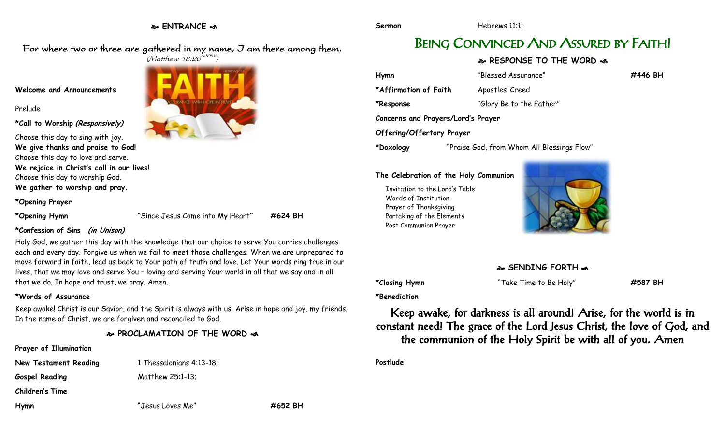### **ENTRANCE**

For where two or three are gathered in my name, I am there among them.

#### **Welcome and Announcements**

Prelude

**\*Call to Worship (Responsively)**

## Choose this day to sing with joy.

**We give thanks and praise to God!** Choose this day to love and serve. **We rejoice in Christ's call in our lives!** Choose this day to worship God.

**We gather to worship and pray.**

**\*Opening Prayer**

**\*Opening Hymn** "Since Jesus Came into My Heart**" #624 BH**

#### **\*Confession of Sins (in Unison)**

Holy God, we gather this day with the knowledge that our choice to serve You carries challenges each and every day. Forgive us when we fail to meet those challenges. When we are unprepared to move forward in faith, lead us back to Your path of truth and love. Let Your words ring true in our lives, that we may love and serve You – loving and serving Your world in all that we say and in all that we do. In hope and trust, we pray. Amen.

#### **\*Words of Assurance**

Keep awake! Christ is our Savior, and the Spirit is always with us. Arise in hope and joy, my friends. In the name of Christ, we are forgiven and reconciled to God.

#### **PROCLAMATION OF THE WORD**

#### **Prayer of Illumination**

**New Testament Reading 1 Thessalonians 4:13-18;** 

**Gospel Reading** Matthew 25:1-13;

**Children's Time**

**Hymn** "Jesus Loves Me" **#652 BH**

# BEING CONVINCED AND ASSURED BY FAITH!

#### **RESPONSE TO THE WORD**

| Hymn                               | "Blessed Assurance"                        | #446 BH |
|------------------------------------|--------------------------------------------|---------|
| *Affirmation of Faith              | Apostles' Creed                            |         |
| *Response                          | "Glory Be to the Father"                   |         |
| Concerns and Prayers/Lord's Prayer |                                            |         |
| Offering/Offertory Prayer          |                                            |         |
| *Doxology                          | "Praise God, from Whom All Blessings Flow" |         |

#### **The Celebration of the Holy Communion**

Invitation to the Lord's Table Words of Institution Prayer of Thanksgiving Partaking of the Elements Post Communion Prayer



**\*Closing Hymn** "Take Time to Be Holy" **#587 BH**

**\*Benediction**

Keep awake, for darkness is all around! Arise, for the world is in constant need! The grace of the Lord Jesus Christ, the love of God, and the communion of the Holy Spirit be with all of you. Amen

**Postlude**